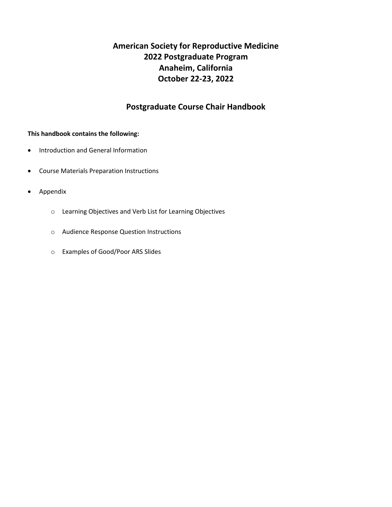# **American Society for Reproductive Medicine 2022 Postgraduate Program Anaheim, California October 22-23, 2022**

## **Postgraduate Course Chair Handbook**

### **This handbook contains the following:**

- Introduction and General Information
- Course Materials Preparation Instructions
- Appendix
	- o Learning Objectives and Verb List for Learning Objectives
	- o Audience Response Question Instructions
	- o Examples of Good/Poor ARS Slides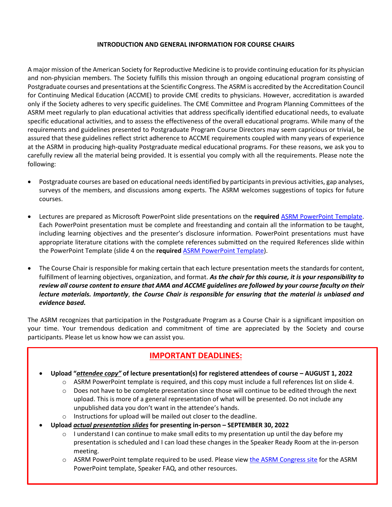#### **INTRODUCTION AND GENERAL INFORMATION FOR COURSE CHAIRS**

A major mission of the American Society for Reproductive Medicine is to provide continuing education for its physician and non-physician members. The Society fulfills this mission through an ongoing educational program consisting of Postgraduate courses and presentations at the Scientific Congress. The ASRM is accredited by the Accreditation Council for Continuing Medical Education (ACCME) to provide CME credits to physicians. However, accreditation is awarded only if the Society adheres to very specific guidelines. The CME Committee and Program Planning Committees of the ASRM meet regularly to plan educational activities that address specifically identified educational needs, to evaluate specific educational activities, and to assess the effectiveness of the overall educational programs. While many of the requirements and guidelines presented to Postgraduate Program Course Directors may seem capricious or trivial, be assured that these guidelines reflect strict adherence to ACCME requirements coupled with many years of experience at the ASRM in producing high-quality Postgraduate medical educational programs. For these reasons, we ask you to carefully review all the material being provided. It is essential you comply with all the requirements. Please note the following:

- Postgraduate courses are based on educational needs identified by participants in previous activities, gap analyses, surveys of the members, and discussions among experts. The ASRM welcomes suggestions of topics for future courses.
- Lectures are prepared as Microsoft PowerPoint slide presentations on the **required** [ASRM PowerPoint Template.](https://www.asrm.org/globalassets/asrm/asrm-content/events/presenters/asrm_powerpoint_template.pptx) Each PowerPoint presentation must be complete and freestanding and contain all the information to be taught, including learning objectives and the presenter's disclosure information. PowerPoint presentations must have appropriate literature citations with the complete references submitted on the required References slide within the PowerPoint Template (slide 4 on the **required** [ASRM PowerPoint Template\)](https://www.asrm.org/globalassets/asrm/asrm-content/events/presenters/asrm_powerpoint_template.pptx).
- The Course Chair is responsible for making certain that each lecture presentation meets the standards for content, fulfillment of learning objectives, organization, and format. *As the chair for this course, it is your responsibility to review all course content to ensure that AMA and ACCME guidelines are followed by your course faculty on their lecture materials. Importantly*, *the Course Chair is responsible for ensuring that the material is unbiased and evidence based.*

The ASRM recognizes that participation in the Postgraduate Program as a Course Chair is a significant imposition on your time. Your tremendous dedication and commitment of time are appreciated by the Society and course participants. Please let us know how we can assist you.

# **IMPORTANT DEADLINES:**

- **Upload "***attendee copy"* **of lecture presentation(s) for registered attendees of course – AUGUST 1, 2022**
	- $\circ$  ASRM PowerPoint template is required, and this copy must include a full references list on slide 4.
	- o Does not have to be complete presentation since those will continue to be edited through the next upload. This is more of a general representation of what will be presented. Do not include any unpublished data you don't want in the attendee's hands.
	- o Instructions for upload will be mailed out closer to the deadline.
- **Upload** *actual presentation slides* **for presenting in-person – SEPTEMBER 30, 2022**
	- $\circ$  I understand I can continue to make small edits to my presentation up until the day before my presentation is scheduled and I can load these changes in the Speaker Ready Room at the in-person meeting.
	- o ASRM PowerPoint template required to be used. Please view [the ASRM Congress site](https://asrmcongress.org/presenters/#Congress) for the ASRM PowerPoint template, Speaker FAQ, and other resources.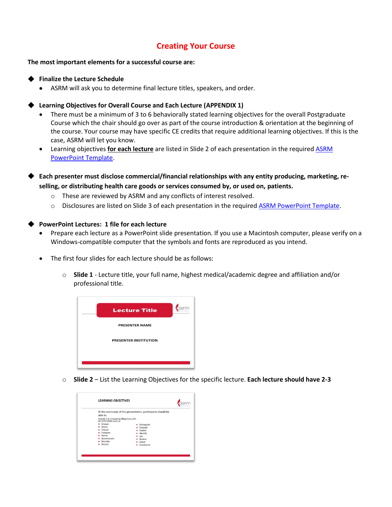# **Creating Your Course**

**The most important elements for a successful course are:**

#### **Finalize the Lecture Schedule**

• ASRM will ask you to determine final lecture titles, speakers, and order.

### **Learning Objectives for Overall Course and Each Lecture (APPENDIX 1)**

- There must be a minimum of 3 to 6 behaviorally stated learning objectives for the overall Postgraduate Course which the chair should go over as part of the course introduction & orientation at the beginning of the course. Your course may have specific CE credits that require additional learning objectives. If this is the case, ASRM will let you know.
- Learning objectives **for each lecture** are listed in Slide 2 of each presentation in the required [ASRM](https://www.asrm.org/globalassets/asrm/asrm-content/events/presenters/asrm_powerpoint_template.pptx)  [PowerPoint Template.](https://www.asrm.org/globalassets/asrm/asrm-content/events/presenters/asrm_powerpoint_template.pptx)
- ◆ **Each presenter must disclose commercial/financial relationships with any entity producing, marketing, reselling, or distributing health care goods or services consumed by, or used on, patients.**
	- o These are reviewed by ASRM and any conflicts of interest resolved.
	- o Disclosures are listed on Slide 3 of each presentation in the required **ASRM PowerPoint Template**.

#### **PowerPoint Lectures: 1 file for each lecture**

- Prepare each lecture as a PowerPoint slide presentation. If you use a Macintosh computer, please verify on a Windows-compatible computer that the symbols and fonts are reproduced as you intend.
- The first four slides for each lecture should be as follows:
	- o **Slide 1** Lecture title, your full name, highest medical/academic degree and affiliation and/or professional title.



o **Slide 2** – List the Learning Objectives for the specific lecture. **Each lecture should have 2-3**

| able to:                                                                                                                                                                   | At the conclusion of this presentation, participants should be                          |
|----------------------------------------------------------------------------------------------------------------------------------------------------------------------------|-----------------------------------------------------------------------------------------|
| Include 2 or 3 Learning Objectives with<br><b>ACTION VERBS such as:</b><br>· Analyze<br>Assess<br>Choose<br>Compare<br>Define<br>Demonstrate<br>Describe<br><b>Discuss</b> | Distinguish<br>Evaluate<br>Explain<br>Identify<br>List<br>Review<br>Select<br>Summarize |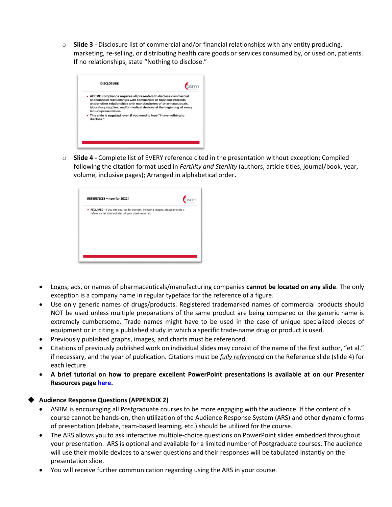o **Slide 3 -** Disclosure list of commercial and/or financial relationships with any entity producing, marketing, re-selling, or distributing health care goods or services consumed by, or used on, patients. If no relationships, state "Nothing to disclose."

| <b>DISCLOSURE</b>                                                                                                                                                                                                                                                                                                                                                                                     |  |
|-------------------------------------------------------------------------------------------------------------------------------------------------------------------------------------------------------------------------------------------------------------------------------------------------------------------------------------------------------------------------------------------------------|--|
| • ACCME compliance requires all presenters to disclose commercial<br>and financial relationships with commercial or financial interests<br>and/or other relationships with manufacturers of pharmaceuticals,<br>laboratory supplies, and/or medical devices at the beginning of every<br>lecture/presentation.<br>• This slide is required, even if you need to type "I have nothing to<br>disclose." |  |
|                                                                                                                                                                                                                                                                                                                                                                                                       |  |
|                                                                                                                                                                                                                                                                                                                                                                                                       |  |

o **Slide 4 -** Complete list of EVERY reference cited in the presentation without exception; Compiled following the citation format used in *Fertility and Sterility* (authors, article titles, journal/book, year, volume, inclusive pages); Arranged in alphabetical order**.**

| REFERENCES - new for 2022!                                                                                                                 |  |
|--------------------------------------------------------------------------------------------------------------------------------------------|--|
| • REQUIRED - If you cite sources for content, including images, please provide a<br>reference list that includes all your cited materials. |  |
|                                                                                                                                            |  |
|                                                                                                                                            |  |
|                                                                                                                                            |  |
|                                                                                                                                            |  |

- Logos, ads, or names of pharmaceuticals/manufacturing companies **cannot be located on any slide**. The only exception is a company name in regular typeface for the reference of a figure.
- Use only generic names of drugs/products. Registered trademarked names of commercial products should NOT be used unless multiple preparations of the same product are being compared or the generic name is extremely cumbersome. Trade names might have to be used in the case of unique specialized pieces of equipment or in citing a published study in which a specific trade-name drug or product is used.
- Previously published graphs, images, and charts must be referenced.
- Citations of previously published work on individual slides may consist of the name of the first author, "et al." if necessary, and the year of publication. Citations must be *fully referenced* on the Reference slide (slide 4) for each lecture.
- **A brief tutorial on how to prepare excellent PowerPoint presentations is available at on our Presenter Resources pag[e here.](https://asrmcongress.org/presenters/)**

## **Audience Response Questions (APPENDIX 2)**

- ASRM is encouraging all Postgraduate courses to be more engaging with the audience. If the content of a course cannot be hands-on, then utilization of the Audience Response System (ARS) and other dynamic forms of presentation (debate, team-based learning, etc.) should be utilized for the course.
- The ARS allows you to ask interactive multiple-choice questions on PowerPoint slides embedded throughout your presentation. ARS is optional and available for a limited number of Postgraduate courses. The audience will use their mobile devices to answer questions and their responses will be tabulated instantly on the presentation slide.
- You will receive further communication regarding using the ARS in your course.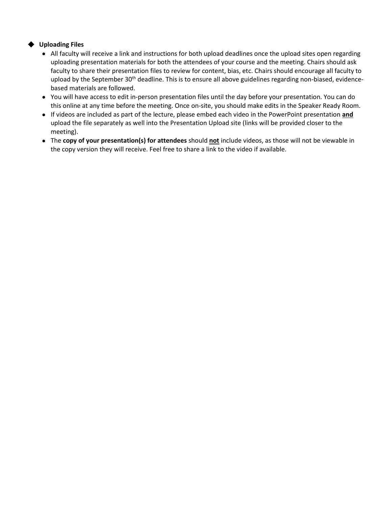## ◆ **Uploading Files**

- All faculty will receive a link and instructions for both upload deadlines once the upload sites open regarding uploading presentation materials for both the attendees of your course and the meeting. Chairs should ask faculty to share their presentation files to review for content, bias, etc. Chairs should encourage all faculty to upload by the September 30<sup>th</sup> deadline. This is to ensure all above guidelines regarding non-biased, evidencebased materials are followed.
- You will have access to edit in-person presentation files until the day before your presentation. You can do this online at any time before the meeting. Once on-site, you should make edits in the Speaker Ready Room.
- If videos are included as part of the lecture, please embed each video in the PowerPoint presentation **and** upload the file separately as well into the Presentation Upload site (links will be provided closer to the meeting).
- The **copy of your presentation(s) for attendees** should **not** include videos, as those will not be viewable in the copy version they will receive. Feel free to share a link to the video if available.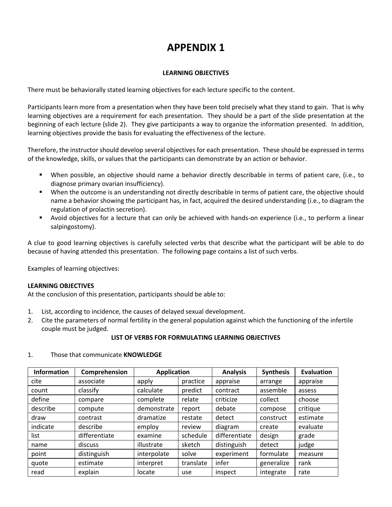# **APPENDIX 1**

#### **LEARNING OBJECTIVES**

There must be behaviorally stated learning objectives for each lecture specific to the content.

Participants learn more from a presentation when they have been told precisely what they stand to gain. That is why learning objectives are a requirement for each presentation. They should be a part of the slide presentation at the beginning of each lecture (slide 2). They give participants a way to organize the information presented. In addition, learning objectives provide the basis for evaluating the effectiveness of the lecture.

Therefore, the instructor should develop several objectives for each presentation. These should be expressed in terms of the knowledge, skills, or values that the participants can demonstrate by an action or behavior.

- When possible, an objective should name a behavior directly describable in terms of patient care, (i.e., to diagnose primary ovarian insufficiency).
- When the outcome is an understanding not directly describable in terms of patient care, the objective should name a behavior showing the participant has, in fact, acquired the desired understanding (i.e., to diagram the regulation of prolactin secretion).
- Avoid objectives for a lecture that can only be achieved with hands-on experience (i.e., to perform a linear salpingostomy).

A clue to good learning objectives is carefully selected verbs that describe what the participant will be able to do because of having attended this presentation. The following page contains a list of such verbs.

Examples of learning objectives:

## **LEARNING OBJECTIVES**

At the conclusion of this presentation, participants should be able to:

- 1. List, according to incidence, the causes of delayed sexual development.
- 2. Cite the parameters of normal fertility in the general population against which the functioning of the infertile couple must be judged.

### **LIST OF VERBS FOR FORMULATING LEARNING OBJECTIVES**

| <b>Information</b> | Comprehension | <b>Application</b> |           | <b>Analysis</b> | <b>Synthesis</b> | <b>Evaluation</b> |
|--------------------|---------------|--------------------|-----------|-----------------|------------------|-------------------|
| cite               | associate     | apply              | practice  | appraise        | arrange          | appraise          |
| count              | classify      | calculate          | predict   | contract        | assemble         | assess            |
| define             | compare       | complete           | relate    | criticize       | collect          | choose            |
| describe           | compute       | demonstrate        | report    | debate          | compose          | critique          |
| draw               | contrast      | dramatize          | restate   | detect          | construct        | estimate          |
| indicate           | describe      | employ             | review    | diagram         | create           | evaluate          |
| list               | differentiate | examine            | schedule  | differentiate   | design           | grade             |
| name               | discuss       | illustrate         | sketch    | distinguish     | detect           | judge             |
| point              | distinguish   | interpolate        | solve     | experiment      | formulate        | measure           |
| quote              | estimate      | interpret          | translate | infer           | generalize       | rank              |
| read               | explain       | locate             | use       | inspect         | integrate        | rate              |

#### 1. Those that communicate **KNOWLEDGE**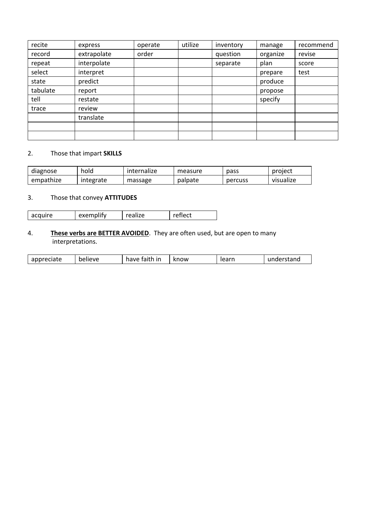| recite   | express     | operate | utilize | inventory | manage   | recommend |
|----------|-------------|---------|---------|-----------|----------|-----------|
| record   | extrapolate | order   |         | question  | organize | revise    |
| repeat   | interpolate |         |         | separate  | plan     | score     |
| select   | interpret   |         |         |           | prepare  | test      |
| state    | predict     |         |         |           | produce  |           |
| tabulate | report      |         |         |           | propose  |           |
| tell     | restate     |         |         |           | specify  |           |
| trace    | review      |         |         |           |          |           |
|          | translate   |         |         |           |          |           |
|          |             |         |         |           |          |           |
|          |             |         |         |           |          |           |

## 2. Those that impart **SKILLS**

| diagnose  | hold      | internalize | measure | pass    | project   |
|-----------|-----------|-------------|---------|---------|-----------|
| empathize | integrate | massage     | palpate | percuss | visualize |

## 3. Those that convey **ATTITUDES**

| acquire | exemplity | 70- | . |
|---------|-----------|-----|---|

## 4. **These verbs are BETTER AVOIDED**. They are often used, but are open to many interpretations.

| appreciate<br>eciate | believe | faith<br>ır<br>have | know | laarn<br>iedii. | lerstand<br>uer.<br>. . |
|----------------------|---------|---------------------|------|-----------------|-------------------------|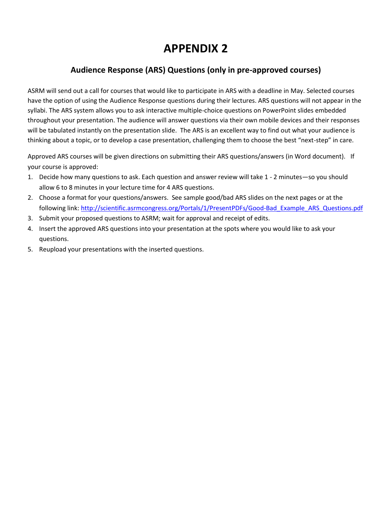# **APPENDIX 2**

# **Audience Response (ARS) Questions (only in pre-approved courses)**

ASRM will send out a call for courses that would like to participate in ARS with a deadline in May. Selected courses have the option of using the Audience Response questions during their lectures. ARS questions will not appear in the syllabi. The ARS system allows you to ask interactive multiple-choice questions on PowerPoint slides embedded throughout your presentation. The audience will answer questions via their own mobile devices and their responses will be tabulated instantly on the presentation slide. The ARS is an excellent way to find out what your audience is thinking about a topic, or to develop a case presentation, challenging them to choose the best "next-step" in care.

Approved ARS courses will be given directions on submitting their ARS questions/answers (in Word document). If your course is approved:

- 1. Decide how many questions to ask. Each question and answer review will take 1 2 minutes—so you should allow 6 to 8 minutes in your lecture time for 4 ARS questions.
- 2. Choose a format for your questions/answers. See sample good/bad ARS slides on the next pages or at the following link: [http://scientific.asrmcongress.org/Portals/1/PresentPDFs/Good-Bad\\_Example\\_ARS\\_Questions.pdf](http://scientific.asrmcongress.org/Portals/1/PresentPDFs/Good-Bad_Example_ARS_Questions.pdf)
- 3. Submit your proposed questions to ASRM; wait for approval and receipt of edits.
- 4. Insert the approved ARS questions into your presentation at the spots where you would like to ask your questions.
- 5. Reupload your presentations with the inserted questions.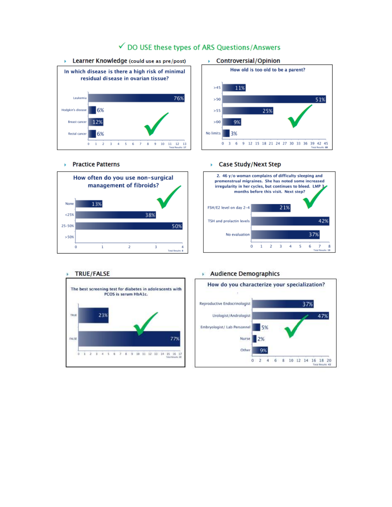

## √ DO USE these types of ARS Questions/Answers

### ▶ Controversial/Opinion



#### ▶ Practice Patterns



#### ▶ Case Study/Next Step



#### **TRUE/FALSE**

#### Audience Demographics



#### How do you characterize your specialization? Reproductive Endocrinologist 37% Urologist/Andrologist 47% Embryologist/ Lab Personnel 5% Nurse  $12%$ Other 9%  $0$  2 4 6 8 10 12 14 16 18 20